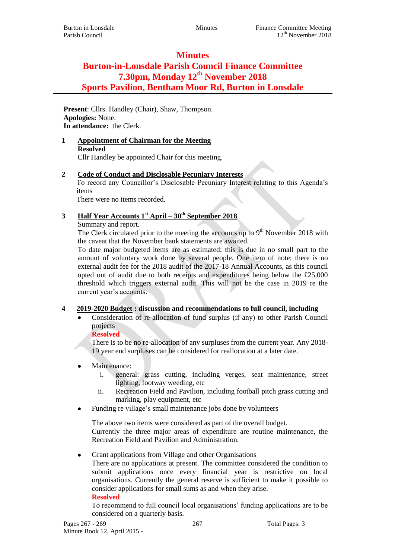# **Minutes**

# **Burton-in-Lonsdale Parish Council Finance Committee 7.30pm, Monday 12th November 2018 Sports Pavilion, Bentham Moor Rd, Burton in Lonsdale**

**Present**: Cllrs. Handley (Chair), Shaw, Thompson. **Apologies:** None. **In attendance:** the Clerk.

**1 Appointment of Chairman for the Meeting Resolved** Cllr Handley be appointed Chair for this meeting.

## **2 Code of Conduct and Disclosable Pecuniary Interests**

To record any Councillor's Disclosable Pecuniary Interest relating to this Agenda's items

There were no items recorded.

## **3 Half Year Accounts 1st April – 30th September 2018**

Summary and report.

The Clerk circulated prior to the meeting the accounts up to  $9<sup>th</sup>$  November 2018 with the caveat that the November bank statements are awaited.

To date major budgeted items are as estimated; this is due in no small part to the amount of voluntary work done by several people. One item of note: there is no external audit fee for the 2018 audit of the 2017-18 Annual Accounts, as this council opted out of audit due to both receipts and expenditures being below the £25,000 threshold which triggers external audit. This will not be the case in 2019 re the current year's accounts.

## **4 2019-2020 Budget : discussion and recommendations to full council, including**

 Consideration of re-allocation of fund surplus (if any) to other Parish Council projects

## **Resolved**

There is to be no re-allocation of any surpluses from the current year. Any 2018- 19 year end surpluses can be considered for reallocation at a later date.

## Maintenance:

- i. general: grass cutting, including verges, seat maintenance, street lighting, footway weeding, etc
- ii. Recreation Field and Pavilion, including football pitch grass cutting and marking, play equipment, etc
- Funding re village's small maintenance jobs done by volunteers

The above two items were considered as part of the overall budget. Currently the three major areas of expenditure are routine maintenance, the Recreation Field and Pavilion and Administration.

Grant applications from Village and other Organisations

There are no applications at present. The committee considered the condition to submit applications once every financial year is restrictive on local organisations. Currently the general reserve is sufficient to make it possible to consider applications for small sums as and when they arise.

#### **Resolved**

To recommend to full council local organisations' funding applications are to be considered on a quarterly basis.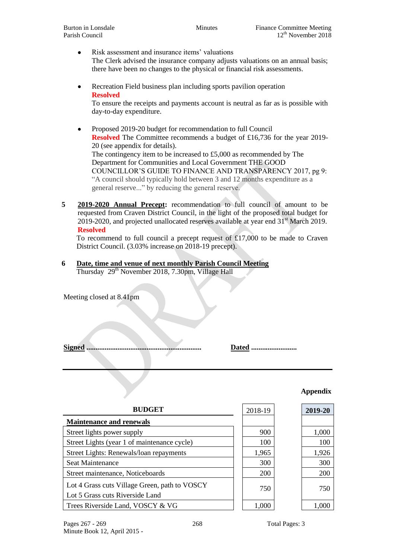- Risk assessment and insurance items' valuations The Clerk advised the insurance company adjusts valuations on an annual basis; there have been no changes to the physical or financial risk assessments.
- Recreation Field business plan including sports pavilion operation **Resolved**

To ensure the receipts and payments account is neutral as far as is possible with day-to-day expenditure.

- Proposed 2019-20 budget for recommendation to full Council **Resolved** The Committee recommends a budget of £16,736 for the year 2019-20 (see appendix for details). The contingency item to be increased to £5,000 as recommended by The Department for Communities and Local Government THE GOOD COUNCILLOR'S GUIDE TO FINANCE AND TRANSPARENCY 2017, pg 9: "A council should typically hold between 3 and 12 months expenditure as a general reserve..." by reducing the general reserve.
- **5 2019-2020 Annual Precept:** recommendation to full council of amount to be requested from Craven District Council, in the light of the proposed total budget for 2019-2020, and projected unallocated reserves available at year end 31st March 2019. **Resolved**

To recommend to full council a precept request of £17,000 to be made to Craven District Council. (3.03% increase on 2018-19 precept).

**6 Date, time and venue of next monthly Parish Council Meeting** Thursday 29<sup>th</sup> November 2018, 7.30pm, Village Hall

Meeting closed at 8.41pm

**Signed ............................................................... Dated .........................**

#### **Appendix**

| <b>BUDGET</b>                                                                    | 2018-19 | 2019-20 |
|----------------------------------------------------------------------------------|---------|---------|
| <b>Maintenance and renewals</b>                                                  |         |         |
| Street lights power supply                                                       | 900     | 1,000   |
| Street Lights (year 1 of maintenance cycle)                                      | 100     | 100     |
| Street Lights: Renewals/loan repayments                                          | 1,965   | 1,926   |
| Seat Maintenance                                                                 | 300     | 300     |
| Street maintenance, Noticeboards                                                 | 200     | 200     |
| Lot 4 Grass cuts Village Green, path to VOSCY<br>Lot 5 Grass cuts Riverside Land | 750     | 750     |
| Trees Riverside Land, VOSCY & VG                                                 | 1,000   |         |